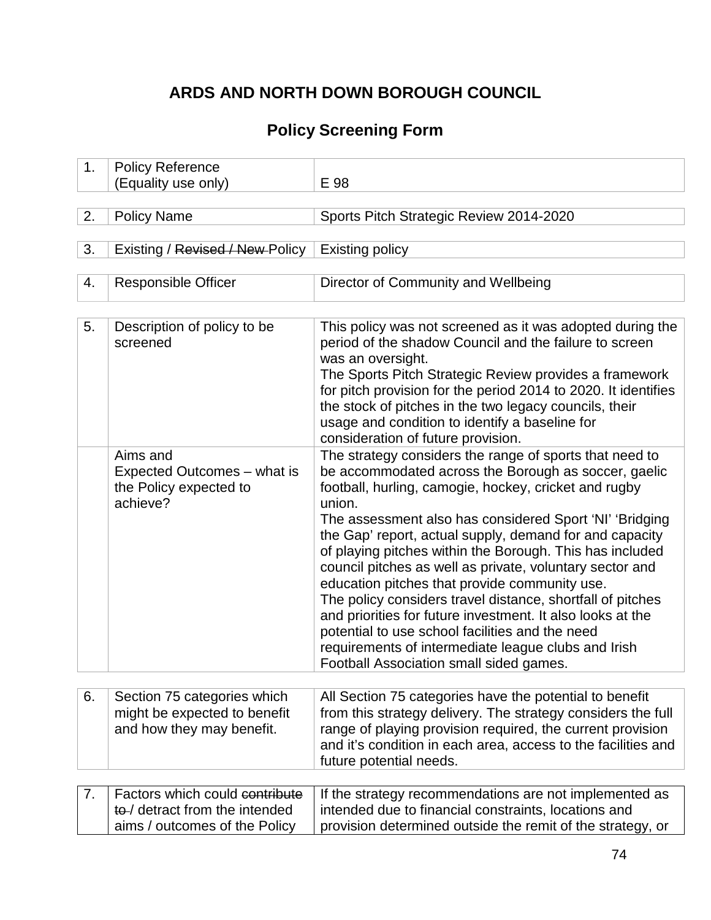# **ARDS AND NORTH DOWN BOROUGH COUNCIL**

## **Policy Screening Form**

| 1. | <b>Policy Reference</b><br>(Equality use only)                                                    | E 98                                                                                                                                                                                                                                                                                                                                                                                                                                                                                                                                                                                                                                                                                                                                                               |
|----|---------------------------------------------------------------------------------------------------|--------------------------------------------------------------------------------------------------------------------------------------------------------------------------------------------------------------------------------------------------------------------------------------------------------------------------------------------------------------------------------------------------------------------------------------------------------------------------------------------------------------------------------------------------------------------------------------------------------------------------------------------------------------------------------------------------------------------------------------------------------------------|
| 2. | <b>Policy Name</b>                                                                                | Sports Pitch Strategic Review 2014-2020                                                                                                                                                                                                                                                                                                                                                                                                                                                                                                                                                                                                                                                                                                                            |
| 3. | Existing / Revised / New Policy                                                                   | <b>Existing policy</b>                                                                                                                                                                                                                                                                                                                                                                                                                                                                                                                                                                                                                                                                                                                                             |
| 4. | <b>Responsible Officer</b>                                                                        | Director of Community and Wellbeing                                                                                                                                                                                                                                                                                                                                                                                                                                                                                                                                                                                                                                                                                                                                |
| 5. | Description of policy to be<br>screened                                                           | This policy was not screened as it was adopted during the<br>period of the shadow Council and the failure to screen<br>was an oversight.<br>The Sports Pitch Strategic Review provides a framework<br>for pitch provision for the period 2014 to 2020. It identifies<br>the stock of pitches in the two legacy councils, their<br>usage and condition to identify a baseline for<br>consideration of future provision.                                                                                                                                                                                                                                                                                                                                             |
|    | Aims and<br>Expected Outcomes – what is<br>the Policy expected to<br>achieve?                     | The strategy considers the range of sports that need to<br>be accommodated across the Borough as soccer, gaelic<br>football, hurling, camogie, hockey, cricket and rugby<br>union.<br>The assessment also has considered Sport 'NI' 'Bridging<br>the Gap' report, actual supply, demand for and capacity<br>of playing pitches within the Borough. This has included<br>council pitches as well as private, voluntary sector and<br>education pitches that provide community use.<br>The policy considers travel distance, shortfall of pitches<br>and priorities for future investment. It also looks at the<br>potential to use school facilities and the need<br>requirements of intermediate league clubs and Irish<br>Football Association small sided games. |
| 6. | Section 75 categories which<br>might be expected to benefit<br>and how they may benefit.          | All Section 75 categories have the potential to benefit<br>from this strategy delivery. The strategy considers the full<br>range of playing provision required, the current provision<br>and it's condition in each area, access to the facilities and<br>future potential needs.                                                                                                                                                                                                                                                                                                                                                                                                                                                                                  |
| 7. | Factors which could contribute<br>to-/ detract from the intended<br>aims / outcomes of the Policy | If the strategy recommendations are not implemented as<br>intended due to financial constraints, locations and<br>provision determined outside the remit of the strategy, or                                                                                                                                                                                                                                                                                                                                                                                                                                                                                                                                                                                       |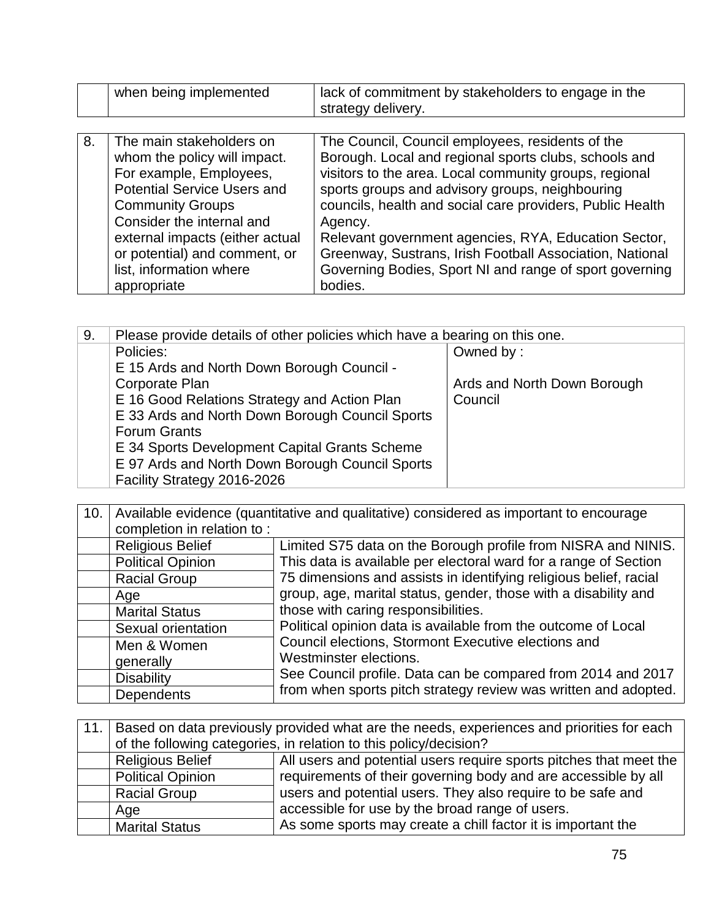|    | when being implemented                                                                                                                                                                                                                                                                          | lack of commitment by stakeholders to engage in the<br>strategy delivery.                                                                                                                                                                                                                                                                                                                                                                                                                |
|----|-------------------------------------------------------------------------------------------------------------------------------------------------------------------------------------------------------------------------------------------------------------------------------------------------|------------------------------------------------------------------------------------------------------------------------------------------------------------------------------------------------------------------------------------------------------------------------------------------------------------------------------------------------------------------------------------------------------------------------------------------------------------------------------------------|
|    |                                                                                                                                                                                                                                                                                                 |                                                                                                                                                                                                                                                                                                                                                                                                                                                                                          |
| 8. | The main stakeholders on<br>whom the policy will impact.<br>For example, Employees,<br><b>Potential Service Users and</b><br><b>Community Groups</b><br>Consider the internal and<br>external impacts (either actual<br>or potential) and comment, or<br>list, information where<br>appropriate | The Council, Council employees, residents of the<br>Borough. Local and regional sports clubs, schools and<br>visitors to the area. Local community groups, regional<br>sports groups and advisory groups, neighbouring<br>councils, health and social care providers, Public Health<br>Agency.<br>Relevant government agencies, RYA, Education Sector,<br>Greenway, Sustrans, Irish Football Association, National<br>Governing Bodies, Sport NI and range of sport governing<br>bodies. |

| 9. | Please provide details of other policies which have a bearing on this one. |                             |
|----|----------------------------------------------------------------------------|-----------------------------|
|    | Policies:                                                                  | Owned by:                   |
|    | E 15 Ards and North Down Borough Council -                                 |                             |
|    | Corporate Plan                                                             | Ards and North Down Borough |
|    | E 16 Good Relations Strategy and Action Plan                               | Council                     |
|    | E 33 Ards and North Down Borough Council Sports                            |                             |
|    | <b>Forum Grants</b>                                                        |                             |
|    | E 34 Sports Development Capital Grants Scheme                              |                             |
|    | E 97 Ards and North Down Borough Council Sports                            |                             |
|    | Facility Strategy 2016-2026                                                |                             |

| 10. | Available evidence (quantitative and qualitative) considered as important to encourage |                                                                   |
|-----|----------------------------------------------------------------------------------------|-------------------------------------------------------------------|
|     | completion in relation to:                                                             |                                                                   |
|     | <b>Religious Belief</b>                                                                | Limited S75 data on the Borough profile from NISRA and NINIS.     |
|     | <b>Political Opinion</b>                                                               | This data is available per electoral ward for a range of Section  |
|     | <b>Racial Group</b>                                                                    | 75 dimensions and assists in identifying religious belief, racial |
|     | Age                                                                                    | group, age, marital status, gender, those with a disability and   |
|     | <b>Marital Status</b>                                                                  | those with caring responsibilities.                               |
|     | Sexual orientation                                                                     | Political opinion data is available from the outcome of Local     |
|     | Men & Women                                                                            | Council elections, Stormont Executive elections and               |
|     | generally                                                                              | Westminster elections.                                            |
|     | <b>Disability</b>                                                                      | See Council profile. Data can be compared from 2014 and 2017      |
|     | <b>Dependents</b>                                                                      | from when sports pitch strategy review was written and adopted.   |

| 11.1 | Based on data previously provided what are the needs, experiences and priorities for each     |                                                              |  |
|------|-----------------------------------------------------------------------------------------------|--------------------------------------------------------------|--|
|      | of the following categories, in relation to this policy/decision?                             |                                                              |  |
|      | All users and potential users require sports pitches that meet the<br><b>Religious Belief</b> |                                                              |  |
|      | requirements of their governing body and are accessible by all<br><b>Political Opinion</b>    |                                                              |  |
|      | users and potential users. They also require to be safe and<br><b>Racial Group</b>            |                                                              |  |
|      | Age                                                                                           | accessible for use by the broad range of users.              |  |
|      | <b>Marital Status</b>                                                                         | As some sports may create a chill factor it is important the |  |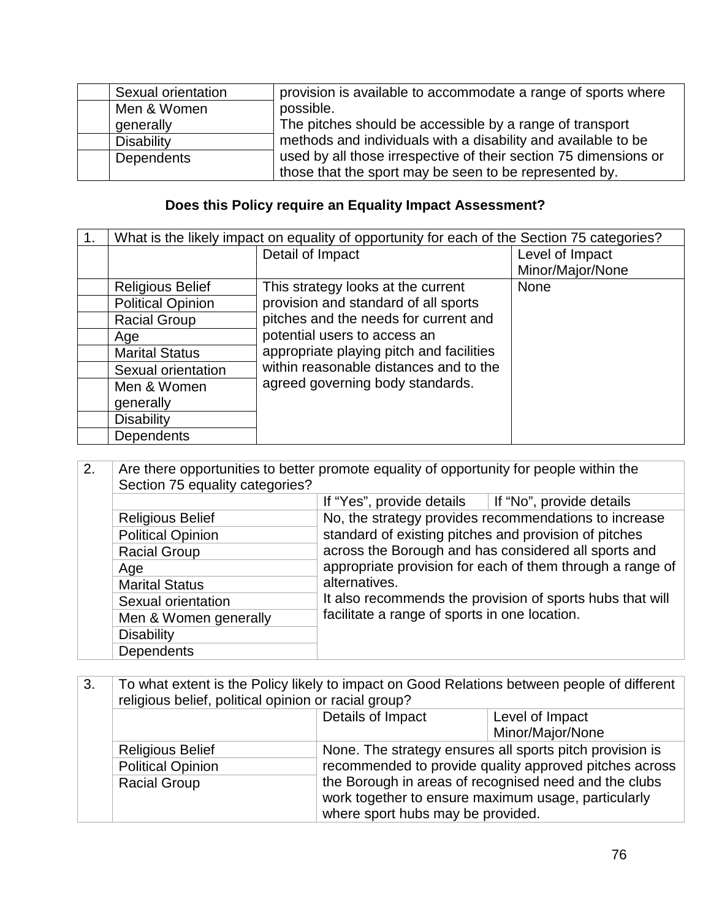| Sexual orientation | provision is available to accommodate a range of sports where    |
|--------------------|------------------------------------------------------------------|
| Men & Women        | possible.                                                        |
| generally          | The pitches should be accessible by a range of transport         |
| <b>Disability</b>  | methods and individuals with a disability and available to be    |
| Dependents         | used by all those irrespective of their section 75 dimensions or |
|                    | those that the sport may be seen to be represented by.           |

## **Does this Policy require an Equality Impact Assessment?**

| What is the likely impact on equality of opportunity for each of the Section 75 categories? |                                          |                  |
|---------------------------------------------------------------------------------------------|------------------------------------------|------------------|
| Detail of Impact                                                                            |                                          | Level of Impact  |
|                                                                                             |                                          | Minor/Major/None |
| <b>Religious Belief</b>                                                                     | This strategy looks at the current       | None             |
| <b>Political Opinion</b>                                                                    | provision and standard of all sports     |                  |
| <b>Racial Group</b>                                                                         | pitches and the needs for current and    |                  |
| Age                                                                                         | potential users to access an             |                  |
| <b>Marital Status</b>                                                                       | appropriate playing pitch and facilities |                  |
| Sexual orientation                                                                          | within reasonable distances and to the   |                  |
| Men & Women                                                                                 | agreed governing body standards.         |                  |
| generally                                                                                   |                                          |                  |
| <b>Disability</b>                                                                           |                                          |                  |
| <b>Dependents</b>                                                                           |                                          |                  |

| 2. | Are there opportunities to better promote equality of opportunity for people within the<br>Section 75 equality categories? |                                                                                                                                                                                                                                                  |                                                       |  |
|----|----------------------------------------------------------------------------------------------------------------------------|--------------------------------------------------------------------------------------------------------------------------------------------------------------------------------------------------------------------------------------------------|-------------------------------------------------------|--|
|    |                                                                                                                            | If "Yes", provide details                                                                                                                                                                                                                        | If "No", provide details                              |  |
|    | <b>Religious Belief</b>                                                                                                    |                                                                                                                                                                                                                                                  | No, the strategy provides recommendations to increase |  |
|    | <b>Political Opinion</b>                                                                                                   | standard of existing pitches and provision of pitches                                                                                                                                                                                            |                                                       |  |
|    | <b>Racial Group</b>                                                                                                        | across the Borough and has considered all sports and<br>appropriate provision for each of them through a range of<br>alternatives.<br>It also recommends the provision of sports hubs that will<br>facilitate a range of sports in one location. |                                                       |  |
|    | Age                                                                                                                        |                                                                                                                                                                                                                                                  |                                                       |  |
|    | <b>Marital Status</b>                                                                                                      |                                                                                                                                                                                                                                                  |                                                       |  |
|    | Sexual orientation                                                                                                         |                                                                                                                                                                                                                                                  |                                                       |  |
|    | Men & Women generally                                                                                                      |                                                                                                                                                                                                                                                  |                                                       |  |
|    | <b>Disability</b>                                                                                                          |                                                                                                                                                                                                                                                  |                                                       |  |
|    | Dependents                                                                                                                 |                                                                                                                                                                                                                                                  |                                                       |  |

| To what extent is the Policy likely to impact on Good Relations between people of different<br>religious belief, political opinion or racial group? |                   |                                                         |
|-----------------------------------------------------------------------------------------------------------------------------------------------------|-------------------|---------------------------------------------------------|
|                                                                                                                                                     | Details of Impact | Level of Impact<br>Minor/Major/None                     |
| <b>Religious Relief</b>                                                                                                                             |                   | None The strategy ensures all sports pitch provision is |

| <b>Religious Belief</b>  | None. The strategy ensures all sports pitch provision is                                                                                          |
|--------------------------|---------------------------------------------------------------------------------------------------------------------------------------------------|
| <b>Political Opinion</b> | recommended to provide quality approved pitches across                                                                                            |
| <b>Racial Group</b>      | the Borough in areas of recognised need and the clubs<br>work together to ensure maximum usage, particularly<br>where sport hubs may be provided. |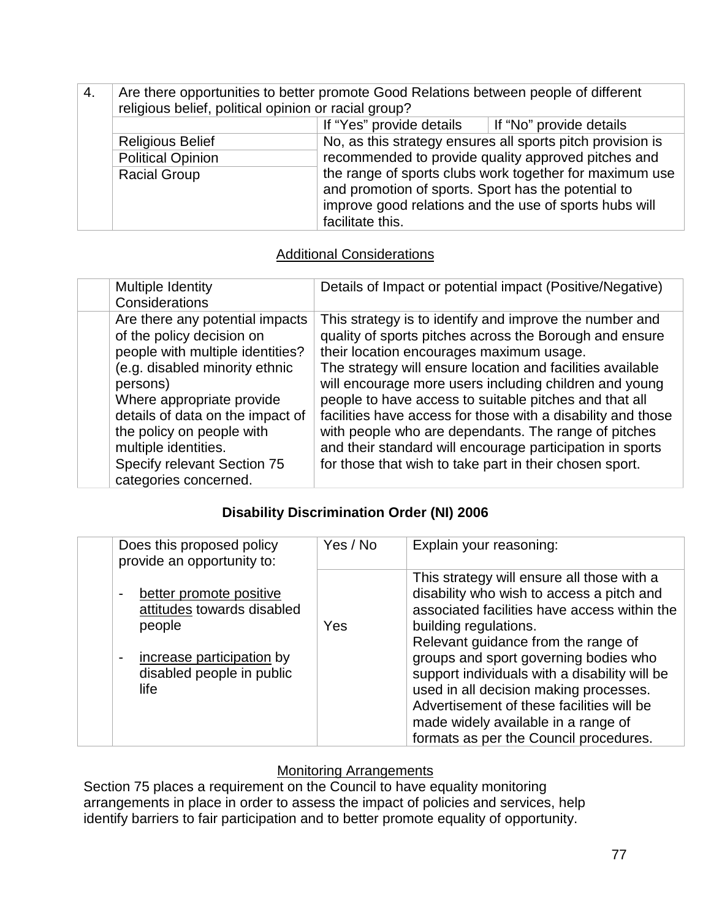| 4. | Are there opportunities to better promote Good Relations between people of different<br>religious belief, political opinion or racial group? |                                                                                                                                                                                                                                                                                                                   |  |
|----|----------------------------------------------------------------------------------------------------------------------------------------------|-------------------------------------------------------------------------------------------------------------------------------------------------------------------------------------------------------------------------------------------------------------------------------------------------------------------|--|
|    |                                                                                                                                              | If "Yes" provide details $\parallel$ If "No" provide details                                                                                                                                                                                                                                                      |  |
|    | <b>Religious Belief</b>                                                                                                                      | No, as this strategy ensures all sports pitch provision is<br>recommended to provide quality approved pitches and<br>the range of sports clubs work together for maximum use<br>and promotion of sports. Sport has the potential to<br>improve good relations and the use of sports hubs will<br>facilitate this. |  |
|    | <b>Political Opinion</b>                                                                                                                     |                                                                                                                                                                                                                                                                                                                   |  |
|    | <b>Racial Group</b>                                                                                                                          |                                                                                                                                                                                                                                                                                                                   |  |

### Additional Considerations

| Multiple Identity<br>Considerations                                                                                                                                                                                                                                                                                          | Details of Impact or potential impact (Positive/Negative)                                                                                                                                                                                                                                                                                                                                                                                                                                                                                                                                        |
|------------------------------------------------------------------------------------------------------------------------------------------------------------------------------------------------------------------------------------------------------------------------------------------------------------------------------|--------------------------------------------------------------------------------------------------------------------------------------------------------------------------------------------------------------------------------------------------------------------------------------------------------------------------------------------------------------------------------------------------------------------------------------------------------------------------------------------------------------------------------------------------------------------------------------------------|
| Are there any potential impacts<br>of the policy decision on<br>people with multiple identities?<br>(e.g. disabled minority ethnic<br>persons)<br>Where appropriate provide<br>details of data on the impact of<br>the policy on people with<br>multiple identities.<br>Specify relevant Section 75<br>categories concerned. | This strategy is to identify and improve the number and<br>quality of sports pitches across the Borough and ensure<br>their location encourages maximum usage.<br>The strategy will ensure location and facilities available<br>will encourage more users including children and young<br>people to have access to suitable pitches and that all<br>facilities have access for those with a disability and those<br>with people who are dependants. The range of pitches<br>and their standard will encourage participation in sports<br>for those that wish to take part in their chosen sport. |
|                                                                                                                                                                                                                                                                                                                              |                                                                                                                                                                                                                                                                                                                                                                                                                                                                                                                                                                                                  |

### **Disability Discrimination Order (NI) 2006**

| Does this proposed policy<br>provide an opportunity to:                                                                           | Yes / No | Explain your reasoning:                                                                                                                                                                                                                                                                                                                                                                                                                                                   |
|-----------------------------------------------------------------------------------------------------------------------------------|----------|---------------------------------------------------------------------------------------------------------------------------------------------------------------------------------------------------------------------------------------------------------------------------------------------------------------------------------------------------------------------------------------------------------------------------------------------------------------------------|
| better promote positive<br>attitudes towards disabled<br>people<br>increase participation by<br>disabled people in public<br>life | Yes      | This strategy will ensure all those with a<br>disability who wish to access a pitch and<br>associated facilities have access within the<br>building regulations.<br>Relevant guidance from the range of<br>groups and sport governing bodies who<br>support individuals with a disability will be<br>used in all decision making processes.<br>Advertisement of these facilities will be<br>made widely available in a range of<br>formats as per the Council procedures. |

### **Monitoring Arrangements**

Section 75 places a requirement on the Council to have equality monitoring arrangements in place in order to assess the impact of policies and services, help identify barriers to fair participation and to better promote equality of opportunity.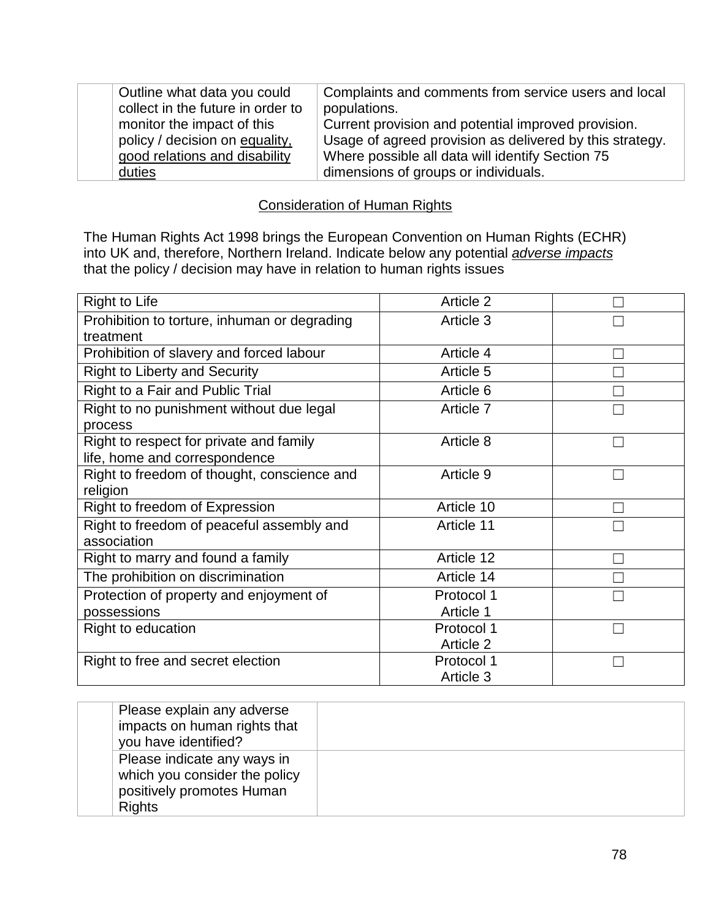| Outline what data you could       | Complaints and comments from service users and local     |
|-----------------------------------|----------------------------------------------------------|
| collect in the future in order to | populations.                                             |
| monitor the impact of this        | Current provision and potential improved provision.      |
| policy / decision on equality,    | Usage of agreed provision as delivered by this strategy. |
| good relations and disability     | Where possible all data will identify Section 75         |
| duties                            | dimensions of groups or individuals.                     |

#### Consideration of Human Rights

The Human Rights Act 1998 brings the European Convention on Human Rights (ECHR) into UK and, therefore, Northern Ireland. Indicate below any potential *adverse impacts* that the policy / decision may have in relation to human rights issues

| <b>Right to Life</b>                                                     | Article 2                      |  |
|--------------------------------------------------------------------------|--------------------------------|--|
| Prohibition to torture, inhuman or degrading<br>treatment                | Article 3                      |  |
| Prohibition of slavery and forced labour                                 | Article 4                      |  |
| <b>Right to Liberty and Security</b>                                     | Article 5                      |  |
| Right to a Fair and Public Trial                                         | Article 6                      |  |
| Right to no punishment without due legal<br>process                      | Article 7                      |  |
| Right to respect for private and family<br>life, home and correspondence | Article 8                      |  |
| Right to freedom of thought, conscience and<br>religion                  | Article 9                      |  |
| Right to freedom of Expression                                           | Article 10                     |  |
| Right to freedom of peaceful assembly and<br>association                 | Article 11                     |  |
| Right to marry and found a family                                        | Article 12                     |  |
| The prohibition on discrimination                                        | Article 14                     |  |
| Protection of property and enjoyment of<br>possessions                   | Protocol 1<br>Article 1        |  |
| Right to education                                                       | Protocol 1<br><b>Article 2</b> |  |
| Right to free and secret election                                        | Protocol 1<br>Article 3        |  |

| Please explain any adverse<br>impacts on human rights that<br>you have identified?                         |  |
|------------------------------------------------------------------------------------------------------------|--|
| Please indicate any ways in<br>which you consider the policy<br>positively promotes Human<br><b>Rights</b> |  |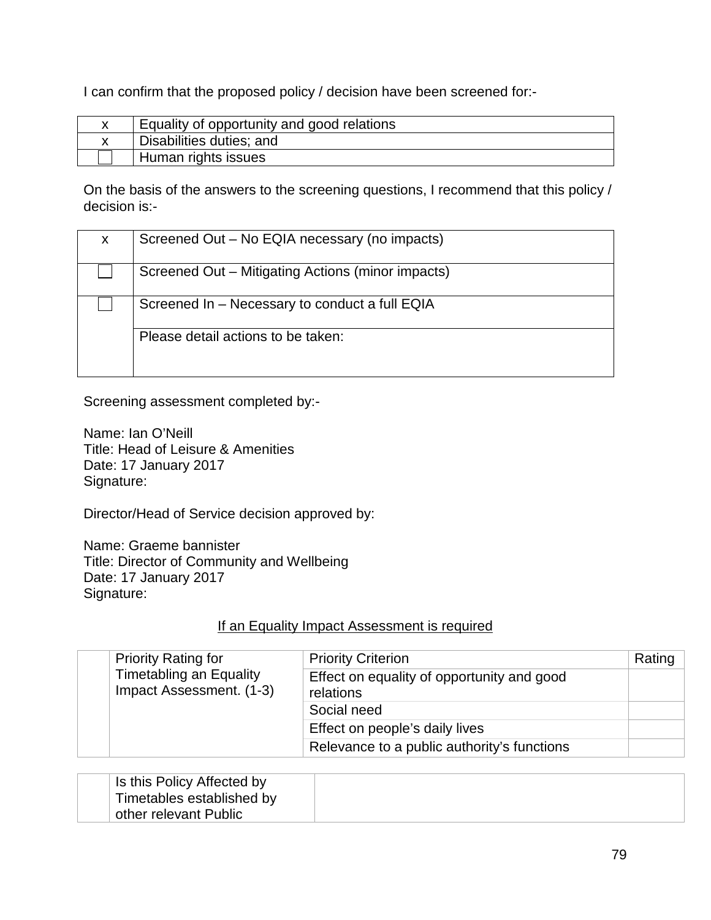I can confirm that the proposed policy / decision have been screened for:-

| Equality of opportunity and good relations |
|--------------------------------------------|
| Disabilities duties; and                   |
| Human rights issues                        |

On the basis of the answers to the screening questions, I recommend that this policy / decision is:-

| X. | Screened Out - No EQIA necessary (no impacts)     |
|----|---------------------------------------------------|
|    | Screened Out – Mitigating Actions (minor impacts) |
|    | Screened In - Necessary to conduct a full EQIA    |
|    | Please detail actions to be taken:                |

Screening assessment completed by:-

Name: Ian O'Neill Title: Head of Leisure & Amenities Date: 17 January 2017 Signature:

Director/Head of Service decision approved by:

Name: Graeme bannister Title: Director of Community and Wellbeing Date: 17 January 2017 Signature:

#### If an Equality Impact Assessment is required

| <b>Priority Rating for</b> | <b>Priority Criterion</b>                                  | Rating                                                  |  |
|----------------------------|------------------------------------------------------------|---------------------------------------------------------|--|
|                            | <b>Timetabling an Equality</b><br>Impact Assessment. (1-3) | Effect on equality of opportunity and good<br>relations |  |
|                            | Social need                                                |                                                         |  |
|                            |                                                            | Effect on people's daily lives                          |  |
|                            |                                                            | Relevance to a public authority's functions             |  |

| Is this Policy Affected by        |  |
|-----------------------------------|--|
| $\perp$ Timetables established by |  |
| other relevant Public             |  |